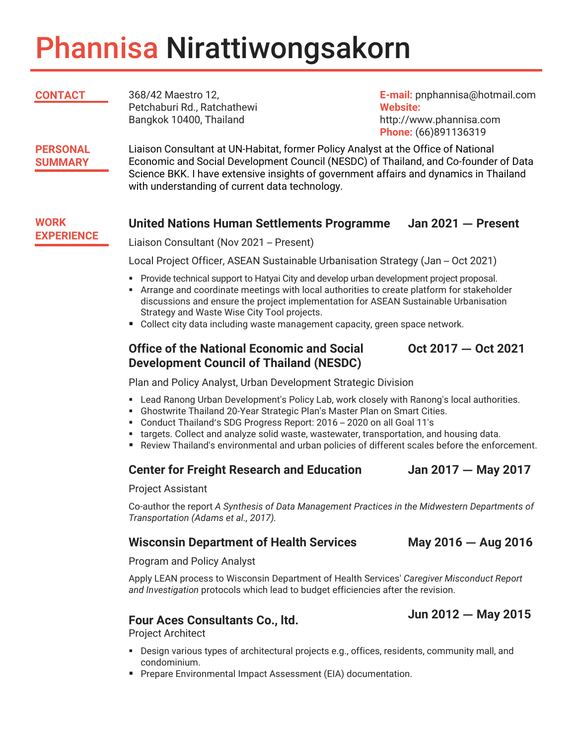# Phannisa Nirattiwongsakorn

| <b>CONTACT</b>                    | 368/42 Maestro 12,<br>Petchaburi Rd., Ratchathewi<br>Bangkok 10400, Thailand                                                                                                                                                                                                                                        | E-mail: pnphannisa@hotmail.com<br><b>Website:</b><br>http://www.phannisa.com<br>Phone: (66)891136319 |
|-----------------------------------|---------------------------------------------------------------------------------------------------------------------------------------------------------------------------------------------------------------------------------------------------------------------------------------------------------------------|------------------------------------------------------------------------------------------------------|
| <b>PERSONAL</b><br><b>SUMMARY</b> | Liaison Consultant at UN-Habitat, former Policy Analyst at the Office of National<br>Economic and Social Development Council (NESDC) of Thailand, and Co-founder of Data<br>Science BKK. I have extensive insights of government affairs and dynamics in Thailand<br>with understanding of current data technology. |                                                                                                      |
| <b>WORK</b>                       | <b>United Nations Human Settlements Programme</b>                                                                                                                                                                                                                                                                   | Jan $2021 -$ Present                                                                                 |

#### **WORK EXPERIENCE**

Liaison Consultant (Nov 2021 – Present)

Local Project Officer, ASEAN Sustainable Urbanisation Strategy (Jan – Oct 2021)

- **Provide technical support to Hatyai City and develop urban development project proposal.**
- Arrange and coordinate meetings with local authorities to create platform for stakeholder discussions and ensure the project implementation for ASEAN Sustainable Urbanisation Strategy and Waste Wise City Tool projects.
- **Collect city data including waste management capacity, green space network.**

#### **Office of the National Economic and Social Development Council of Thailand (NESDC)**

**Oct 2017 — Oct 2021**

Plan and Policy Analyst, Urban Development Strategic Division

- Lead Ranong Urban Development's Policy Lab, work closely with Ranong's local authorities.
- Ghostwrite Thailand 20-Year Strategic Plan's Master Plan on Smart Cities.
- Conduct Thailand's SDG Progress Report: 2016 2020 on all Goal 11's
- targets. Collect and analyze solid waste, wastewater, transportation, and housing data.
- Review Thailand's environmental and urban policies of different scales before the enforcement.

### **Center for Freight Research and Education Jan 2017 — May 2017**

Project Assistant

Co-author the report *A Synthesis of Data Management Practices in the Midwestern Departments of Transportation (Adams et al., 2017).*

### **Wisconsin Department of Health Services May 2016 — Aug 2016**

Program and Policy Analyst

Apply LEAN process to Wisconsin Department of Health Services' *Caregiver Misconduct Report and Investigation* protocols which lead to budget efficiencies after the revision.

## **Four Aces Consultants Co., ltd. Jun 2012 — May 2015**

Project Architect

- Design various types of architectural projects e.g., offices, residents, community mall, and condominium.
- **Prepare Environmental Impact Assessment (EIA) documentation.**